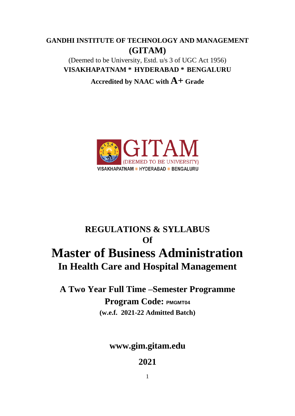# **GANDHI INSTITUTE OF TECHNOLOGY AND MANAGEMENT (GITAM)**

(Deemed to be University, Estd. u/s 3 of UGC Act 1956) **VISAKHAPATNAM \* HYDERABAD \* BENGALURU**

**Accredited by NAAC with A+ Grade**



# **REGULATIONS & SYLLABUS Of Master of Business Administration In Health Care and Hospital Management**

**A Two Year Full Time –Semester Programme Program Code: PMGMT04 (w.e.f. 2021-22 Admitted Batch)**

**[www.gim.gitam.edu](http://www.gitam.edu/)**

**2021**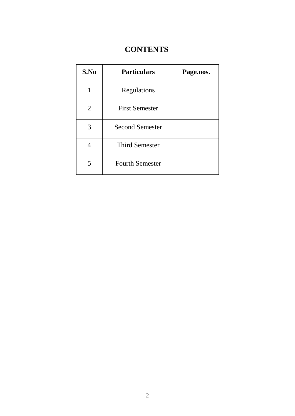# **CONTENTS**

| S.No | <b>Particulars</b>     | Page.nos. |
|------|------------------------|-----------|
| 1    | Regulations            |           |
| 2    | <b>First Semester</b>  |           |
| 3    | <b>Second Semester</b> |           |
| 4    | <b>Third Semester</b>  |           |
| 5    | <b>Fourth Semester</b> |           |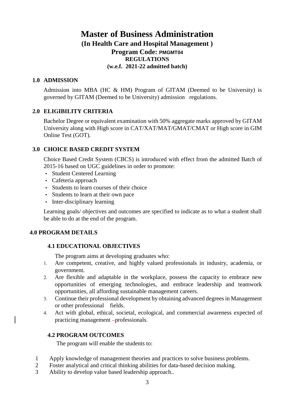# **Master of Business Administration (In Health Care and Hospital Management ) Program Code: PMGMT04 REGULATIONS (w.e.f. 2021-22 admitted batch)**

#### **1.0 ADMISSION**

Admission into MBA (HC & HM) Program of GITAM (Deemed to be University) is governed by GITAM (Deemed to be University) admission regulations.

### **2.0 ELIGIBILITY CRITERIA**

Bachelor Degree or equivalent examination with 50% aggregate marks approved by GITAM University along with High score in CAT/XAT/MAT/GMAT/CMAT or High score in GIM Online Test (GOT).

### **3.0 CHOICE BASED CREDIT SYSTEM**

Choice Based Credit System (CBCS) is introduced with effect from the admitted Batch of 2015-16 based on UGC guidelines in order to promote:

- Student Centered Learning
- Cafeteria approach
- Students to learn courses of their choice
- Students to learn at their own pace
- Inter-disciplinary learning

Learning goals/ objectives and outcomes are specified to indicate as to what a student shall be able to do at the end of the program.

# **4.0 PROGRAM DETAILS**

#### **4.1 EDUCATIONAL OBJECTIVES**

The program aims at developing graduates who:

- 1. Are competent, creative, and highly valued professionals in industry, academia, or government.
- 2. Are flexible and adaptable in the workplace, possess the capacity to embrace new opportunities of emerging technologies, and embrace leadership and teamwork opportunities, all affording sustainable management careers.
- 3. Continue their professional development by obtaining advanced degrees in Management or other professional fields.
- 4. Act with global, ethical, societal, ecological, and commercial awareness expected of practicing management -professionals.

#### **4.2 PROGRAM OUTCOMES**

The program will enable the students to:

- 1 Apply knowledge of management theories and practices to solve business problems.
- 2 Foster analytical and critical thinking abilities for data-based decision making.
- 3 Ability to develop value based leadership approach..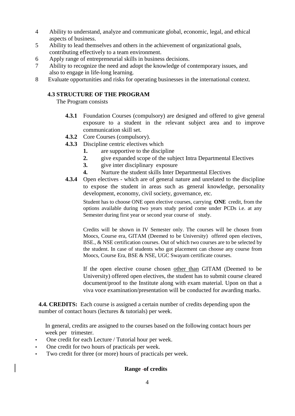- 4 Ability to understand, analyze and communicate global, economic, legal, and ethical aspects of business.
- 5 Ability to lead themselves and others in the achievement of organizational goals, contributing effectively to a team environment.
- 6 Apply range of entrepreneurial skills in business decisions.
- 7 Ability to recognize the need and adopt the knowledge of contemporary issues, and also to engage in life-long learning.
- 8 Evaluate opportunities and risks for operating businesses in the international context.

# **4.3 STRUCTURE OF THE PROGRAM**

The Program consists

- **4.3.1** Foundation Courses (compulsory) are designed and offered to give general exposure to a student in the relevant subject area and to improve communication skill set.
- **4.3.2** Core Courses (compulsory).
- **4.3.3** Discipline centric electives which
	- **1.** are supportive to the discipline
	- **2.** give expanded scope of the subject Intra Departmental Electives
	- **3.** give inter disciplinary exposure
	- **4.** Nurture the student skills Inter Departmental Electives
- **4.3.4** Open electives which are of general nature and unrelated to the discipline to expose the student in areas such as general knowledge, personality development, economy, civil society, governance, etc.

Student has to choose ONE open elective courses, carrying **ONE** credit, from the options available during two years study period come under PCDs i.e. at any Semester during first year or second year course of study.

Credits will be shown in IV Semester only. The courses will be chosen from Moocs, Course era, GITAM (Deemed to be University) offered open electives, BSE., & NSE certification courses. Out of which two courses are to be selected by the student. In case of students who got placement can choose any course from Moocs, Course Era, BSE & NSE, UGC Swayam certificate courses.

If the open elective course chosen other than GITAM (Deemed to be University) offered open electives, the student has to submit course cleared document/proof to the Institute along with exam material. Upon on that a viva voce examination/presentation will be conducted for awarding marks.

**4.4. CREDITS:** Each course is assigned a certain number of credits depending upon the number of contact hours (lectures & tutorials) per week.

In general, credits are assigned to the courses based on the following contact hours per week per trimester.

- One credit for each Lecture / Tutorial hour per week.
- One credit for two hours of practicals per week.
- Two credit for three (or more) hours of practicals per week.

#### **Range of credits**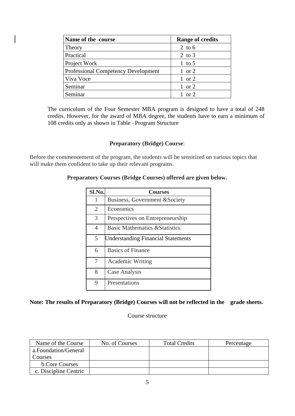| Name of the -course                        | <b>Range of credits</b> |
|--------------------------------------------|-------------------------|
| Theory                                     | 2 to $6$                |
| Practical                                  | 2 to $3$                |
| Project Work                               | 1 to 5                  |
| <b>Professional Competency Development</b> | $1 \text{ or } 2$       |
| Viva Voce                                  | $1$ or $2$              |
| Seminar                                    | $1 \text{ or } 2$       |
| Seminar                                    | 1 or 2                  |

The curriculum of the Four Semester MBA program is designed to have a total of 248 credits. However, for the award of MBA degree, the students have to earn a minimum of 108 credits only as shown in Table –Program Structure

#### **Preparatory (Bridge) Course**:

Before the commencement of the program, the students will be sensitized on various topics that will make them confident to take up their relevant programs.

#### **Preparatory Courses (Bridge Courses) offered are given below.**

| Sl.No.         | <b>Courses</b>                            |
|----------------|-------------------------------------------|
| 1              | Business, Government & Society            |
| $\overline{2}$ | Economics                                 |
| 3              | Perspectives on Entrepreneurship          |
| 4              | <b>Basic Mathematics &amp; Statistics</b> |
| 5              | <b>Understanding Financial Statements</b> |
| 6              | <b>Basics of Finance</b>                  |
| 7              | Academic Writing                          |
| 8              | Case Analysis                             |
| 9              | Presentations                             |

# **Note: The results of Preparatory (Bridge) Courses will not be reflected in the grade sheets.**

Course structure

| Name of the Course    | No. of Courses | <b>Total Credits</b> | Percentage |
|-----------------------|----------------|----------------------|------------|
| a.Foundation/General  |                |                      |            |
| Courses               |                |                      |            |
| <b>b.Core Courses</b> |                |                      |            |
| c. Discipline Centric |                |                      |            |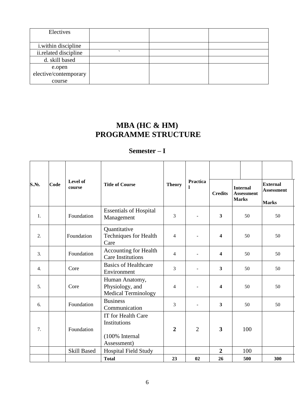| Electives                   |  |  |
|-----------------------------|--|--|
|                             |  |  |
| <i>i</i> .within discipline |  |  |
| ii.related discipline       |  |  |
| d. skill based              |  |  |
| e.open                      |  |  |
| elective/contemporary       |  |  |
| course                      |  |  |

# **MBA (HC & HM) PROGRAMME STRUCTURE**

# **Semester – I**

| $S.N2$ .         | Code | Level of<br>course | <b>Title of Course</b>                                                     | <b>Theory</b>  | Practica<br>1  | <b>Credits</b>          | <b>Internal</b><br><b>Assessment</b><br><b>Marks</b> | <b>External</b><br>Assessment<br><b>Marks</b> |
|------------------|------|--------------------|----------------------------------------------------------------------------|----------------|----------------|-------------------------|------------------------------------------------------|-----------------------------------------------|
| 1.               |      | Foundation         | <b>Essentials of Hospital</b><br>Management                                | 3              |                | 3                       | 50                                                   | 50                                            |
| 2.               |      | Foundation         | Quantitative<br><b>Techniques for Health</b><br>Care                       | $\overline{4}$ |                | 4                       | 50                                                   | 50                                            |
| 3.               |      | Foundation         | Accounting for Health<br><b>Care Institutions</b>                          | $\overline{4}$ |                | $\overline{\mathbf{4}}$ | 50                                                   | 50                                            |
| $\overline{4}$ . |      | Core               | <b>Basics of Healthcare</b><br>Environment                                 | 3              |                | 3                       | 50                                                   | 50                                            |
| 5 <sub>1</sub>   |      | Core               | Human Anatomy,<br>Physiology, and<br><b>Medical Terminology</b>            | $\overline{4}$ |                | 4                       | 50                                                   | 50                                            |
| 6.               |      | Foundation         | <b>Business</b><br>Communication                                           | 3              | L.             | 3                       | 50                                                   | 50                                            |
| 7.               |      | Foundation         | <b>IT</b> for Health Care<br>Institutions<br>(100% Internal<br>Assessment) | $\overline{2}$ | $\overline{2}$ | 3                       | 100                                                  |                                               |
|                  |      | <b>Skill Based</b> | <b>Hospital Field Study</b>                                                |                |                | $\overline{2}$          | 100                                                  |                                               |
|                  |      |                    | <b>Total</b>                                                               | 23             | 02             | 26                      | 500                                                  | 300                                           |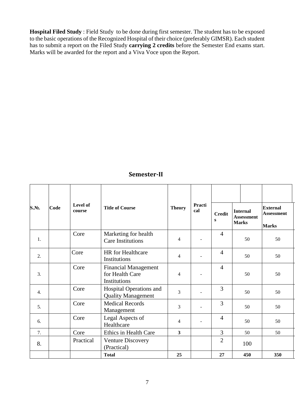**Hospital Filed Study** : Field Study to be done during first semester. The student has to be exposed to the basic operations of the Recognized Hospital of their choice (preferably GIMSR). Each student has to submit a report on the Filed Study **carrying 2 credits** before the Semester End exams start. Marks will be awarded for the report and a Viva Voce upon the Report.

# **Semester-II**

| S.No.            | Code | Level of<br>course | <b>Title of Course</b>                                         | <b>Theory</b> | Practi<br>cal | <b>Credit</b><br>S         | <b>Internal</b><br><b>Assessment</b><br><b>Marks</b> | <b>External</b><br><b>Assessment</b><br><b>Marks</b> |  |
|------------------|------|--------------------|----------------------------------------------------------------|---------------|---------------|----------------------------|------------------------------------------------------|------------------------------------------------------|--|
| 1.               |      | Core               | Marketing for health<br><b>Care Institutions</b>               | 4             |               | $\overline{4}$             | 50                                                   | 50                                                   |  |
| 2.               |      | Core               | HR for Healthcare<br>Institutions                              | 4             |               | $\overline{4}$             | 50                                                   | 50                                                   |  |
| 3.               |      | Core               | <b>Financial Management</b><br>for Health Care<br>Institutions | 4             |               | $\overline{4}$<br>50<br>50 |                                                      |                                                      |  |
| $\overline{4}$ . |      | Core               | Hospital Operations and<br><b>Quality Management</b>           | 3<br>3<br>50  |               |                            | 50                                                   |                                                      |  |
| 5.               |      | Core               | <b>Medical Records</b><br>Management                           | 3<br>3<br>50  |               | 50                         |                                                      |                                                      |  |
| 6.               |      | Core               | Legal Aspects of<br>Healthcare                                 | 4             |               | $\overline{4}$             | 50                                                   | 50                                                   |  |
| 7.               |      | Core               | Ethics in Health Care                                          | 3             |               | $\overline{3}$             | 50                                                   | 50                                                   |  |
| 8.               |      | Practical          | <b>Venture Discovery</b><br>(Practical)                        |               |               | $\overline{2}$             | 100                                                  |                                                      |  |
|                  |      |                    | <b>Total</b>                                                   | 25            |               | 27                         | 450                                                  | 350                                                  |  |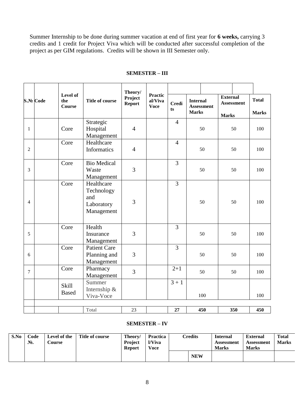Summer Internship to be done during summer vacation at end of first year for **6 weeks,** carrying 3 credits and 1 credit for Project Viva which will be conducted after successful completion of the project as per GIM regulations. Credits will be shown in III Semester only.

|                |          |                                  |                                                             | Theory/                  |                                          |                |                 |                   |                 |                   |              |
|----------------|----------|----------------------------------|-------------------------------------------------------------|--------------------------|------------------------------------------|----------------|-----------------|-------------------|-----------------|-------------------|--------------|
|                | S.№ Code | Level of<br>the<br><b>Course</b> | <b>Title of course</b>                                      | Project<br><b>Report</b> | <b>Practic</b><br>al/Viva<br><b>Voce</b> | <b>Credi</b>   | <b>Internal</b> | <b>Assessment</b> | <b>External</b> | <b>Assessment</b> | <b>Total</b> |
|                |          |                                  |                                                             |                          |                                          | ts             | <b>Marks</b>    |                   | <b>Marks</b>    |                   | <b>Marks</b> |
| 1              |          | Core                             | Strategic<br>Hospital<br>Management                         | $\overline{4}$           |                                          | $\overline{4}$ |                 | 50                |                 | 50                | 100          |
| $\overline{2}$ |          | Core                             | Healthcare<br>Informatics                                   | $\overline{4}$           |                                          | $\overline{4}$ |                 | 50                |                 | 50                | 100          |
| 3              |          | Core                             | <b>Bio Medical</b><br>Waste<br>Management                   | 3                        |                                          | 3              |                 | 50                |                 | 50                | 100          |
| $\overline{4}$ |          | Core                             | Healthcare<br>Technology<br>and<br>Laboratory<br>Management | 3                        |                                          | 3              |                 | 50                |                 | 50                | 100          |
| 5              |          | Core                             | Health<br>Insurance<br>Management                           | 3                        |                                          | 3              |                 | 50                |                 | 50                | 100          |
| 6              |          | Core                             | <b>Patient Care</b><br>Planning and<br>Management           | 3                        |                                          | $\overline{3}$ |                 | 50                |                 | 50                | 100          |
| $\tau$         |          | Core                             | Pharmacy<br>Management                                      | 3                        |                                          | $2+1$          |                 | 50                |                 | 50                | 100          |
|                |          | Skill<br><b>Based</b>            | Summer<br>Internship &<br>Viva-Voce                         |                          |                                          | $3 + 1$        |                 | 100               |                 |                   | 100          |
|                |          |                                  | Total                                                       | 23                       |                                          | 27             |                 | 450               |                 | 350               | 450          |

#### **SEMESTER – III**

#### **SEMESTER – IV**

| S.No | Code<br>$N_2$ . | Level of the<br><b>Course</b> | Title of course | Theory/<br><b>Project</b><br><b>Report</b> | <b>Practica</b><br>l/Viva<br><b>Voce</b> | $\mathop{{\rm \mathsf{C}redits}}$ | <b>Internal</b><br>Assessment<br><b>Marks</b> | <b>External</b><br>Assessment<br><b>Marks</b> | <b>Total</b><br><b>Marks</b> |
|------|-----------------|-------------------------------|-----------------|--------------------------------------------|------------------------------------------|-----------------------------------|-----------------------------------------------|-----------------------------------------------|------------------------------|
|      |                 |                               |                 |                                            |                                          | <b>NEW</b>                        |                                               |                                               |                              |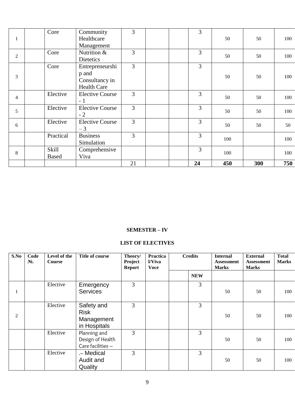|                               | Core         | Community              | 3              |  | 3  |     |     |     |
|-------------------------------|--------------|------------------------|----------------|--|----|-----|-----|-----|
| 1                             |              | Healthcare             |                |  |    | 50  | 50  | 100 |
| $\overline{c}$<br>3<br>4<br>5 |              | Management             |                |  |    |     |     |     |
|                               | Core         | Nutrition &            | 3              |  | 3  | 50  | 50  | 100 |
|                               |              | Dietetics              |                |  |    |     |     |     |
|                               | Core         | Entrepreneurshi        | $\overline{3}$ |  | 3  |     |     |     |
|                               |              | p and                  |                |  |    | 50  | 50  | 100 |
|                               |              | Consultancy in         |                |  |    |     |     |     |
|                               |              | <b>Health Care</b>     |                |  |    |     |     |     |
|                               | Elective     | <b>Elective Course</b> | $\overline{3}$ |  | 3  | 50  | 50  | 100 |
|                               |              | $-1$                   |                |  |    |     |     |     |
|                               | Elective     | <b>Elective Course</b> | 3              |  | 3  | 50  | 50  | 100 |
|                               |              | $-2$                   |                |  |    |     |     |     |
| 6                             | Elective     | <b>Elective Course</b> | 3              |  | 3  | 50  | 50  | 50  |
|                               |              | $-3$                   |                |  |    |     |     |     |
|                               | Practical    | <b>Business</b>        | 3              |  | 3  | 100 |     | 100 |
|                               |              | Simulation             |                |  |    |     |     |     |
| $8\,$                         | Skill        | Comprehensive          |                |  | 3  | 100 |     | 100 |
|                               | <b>Based</b> | Viva                   |                |  |    |     |     |     |
|                               |              |                        | 21             |  | 24 | 450 | 300 | 750 |

#### **SEMESTER – IV**

### **LIST OF ELECTIVES**

| S.No           | Code<br>No. | Level of the<br><b>Course</b> | <b>Title of course</b>                                  | Theory/<br>Project<br><b>Report</b> | <b>Practica</b><br>l/Viva<br><b>Voce</b> | <b>Credits</b> |            | <b>Internal</b><br><b>Assessment</b><br><b>Marks</b> | <b>External</b><br><b>Assessment</b><br><b>Marks</b> | <b>Total</b><br><b>Marks</b> |
|----------------|-------------|-------------------------------|---------------------------------------------------------|-------------------------------------|------------------------------------------|----------------|------------|------------------------------------------------------|------------------------------------------------------|------------------------------|
|                |             |                               |                                                         |                                     |                                          |                | <b>NEW</b> |                                                      |                                                      |                              |
| $\bf{I}$       |             | Elective                      | Emergency<br><b>Services</b>                            | 3                                   |                                          |                | 3          | 50                                                   | 50                                                   | 100                          |
| $\overline{2}$ |             | Elective                      | Safety and<br><b>Risk</b><br>Management<br>in Hospitals | 3                                   |                                          |                | 3          | 50                                                   | 50                                                   | 100                          |
|                |             | Elective                      | Planning and<br>Design of Health<br>Care facilities -   | 3                                   |                                          |                | 3          | 50                                                   | 50                                                   | 100                          |
|                |             | Elective                      | .- Medical<br>Audit and<br>Quality                      | 3                                   |                                          |                | 3          | 50                                                   | 50                                                   | 100                          |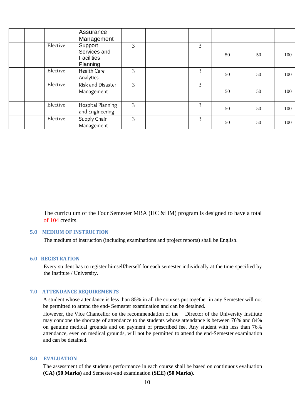|          | Assurance<br>Management                                  |   |  |   |    |    |     |
|----------|----------------------------------------------------------|---|--|---|----|----|-----|
| Elective | Support<br>Services and<br><b>Facilities</b><br>Planning | 3 |  | 3 | 50 | 50 | 100 |
| Elective | Health Care<br>Analytics                                 | 3 |  | 3 | 50 | 50 | 100 |
| Elective | Risk and Disaster<br>Management                          | 3 |  | 3 | 50 | 50 | 100 |
| Elective | Hospital Planning<br>and Engineering                     | 3 |  | 3 | 50 | 50 | 100 |
| Elective | Supply Chain<br>Management                               | 3 |  | 3 | 50 | 50 | 100 |

The curriculum of the Four Semester MBA (HC &HM) program is designed to have a total of 104 credits.

#### **5.0 MEDIUM OF INSTRUCTION**

The medium of instruction (including examinations and project reports) shall be English.

#### **6.0 REGISTRATION**

Every student has to register himself/herself for each semester individually at the time specified by the Institute / University.

#### **7.0 ATTENDANCE REQUIREMENTS**

A student whose attendance is less than 85% in all the courses put together in any Semester will not be permitted to attend the end- Semester examination and can be detained.

However, the Vice Chancellor on the recommendation of the Director of the University Institute may condone the shortage of attendance to the students whose attendance is between 76% and 84% on genuine medical grounds and on payment of prescribed fee. Any student with less than 76% attendance, even on medical grounds, will not be permitted to attend the end-Semester examination and can be detained.

#### **8.0 EVALUATION**

The assessment of the student's performance in each course shall be based on continuous evaluation **(CA) (50 Marks)** and Semester-end examination **(SEE) (50 Marks).**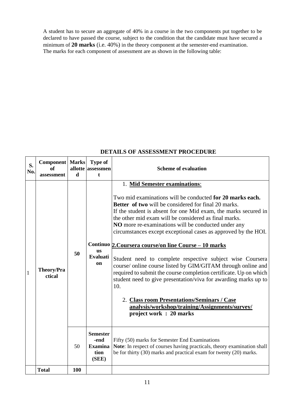A student has to secure an aggregate of 40% in a course in the two components put together to be declared to have passed the course, subject to the condition that the candidate must have secured a minimum of **20 marks** (i.e. 40%) in the theory component at the semester-end examination. The marks for each component of assessment are as shown in the following table:

# **DETAILS OF ASSESSMENT PROCEDURE**

| S.<br>No.    | Component<br>of<br>assessment | <b>Marks</b><br>$\mathbf d$ | <b>Type of</b><br>allotte assessmen<br>$\mathbf{t}$        | <b>Scheme of evaluation</b>                                                                                                                                                                                                                                                                                                                                                                                                                                                                                                                                                                                                                                                                                                                                                                                                                                                     |
|--------------|-------------------------------|-----------------------------|------------------------------------------------------------|---------------------------------------------------------------------------------------------------------------------------------------------------------------------------------------------------------------------------------------------------------------------------------------------------------------------------------------------------------------------------------------------------------------------------------------------------------------------------------------------------------------------------------------------------------------------------------------------------------------------------------------------------------------------------------------------------------------------------------------------------------------------------------------------------------------------------------------------------------------------------------|
| $\mathbf{1}$ | <b>Theory/Pra</b><br>ctical   | 50                          | <b>us</b><br><b>Evaluati</b><br>on                         | 1. Mid Semester examinations:<br>Two mid examinations will be conducted for 20 marks each.<br><b>Better of two</b> will be considered for final 20 marks.<br>If the student is absent for one Mid exam, the marks secured in<br>the other mid exam will be considered as final marks.<br>NO more re-examinations will be conducted under any<br>circumstances except exceptional cases as approved by the HOI.<br>Continuo 2. Coursera course/on line Course - 10 marks<br>Student need to complete respective subject wise Coursera<br>course/ online course listed by GIM/GITAM through online and<br>required to submit the course completion certificate. Up on which<br>student need to give presentation/viva for awarding marks up to<br>10.<br>2. Class room Presentations/Seminars / Case<br>analysis/workshop/training/Assignments/survey/<br>project work : 20 marks |
|              |                               | 50                          | <b>Semester</b><br>-end<br><b>Examina</b><br>tion<br>(SEE) | Fifty (50) marks for Semester End Examinations<br>Note: In respect of courses having practicals, theory examination shall<br>be for thirty (30) marks and practical exam for twenty (20) marks.                                                                                                                                                                                                                                                                                                                                                                                                                                                                                                                                                                                                                                                                                 |
|              | <b>Total</b>                  | 100                         |                                                            |                                                                                                                                                                                                                                                                                                                                                                                                                                                                                                                                                                                                                                                                                                                                                                                                                                                                                 |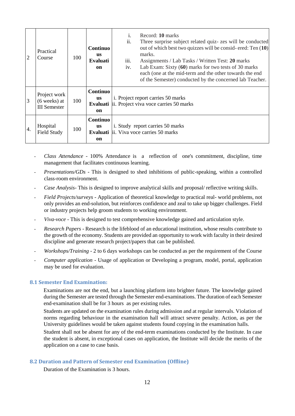| $\overline{2}$   | Practical<br>Course                                   | 100 | Continuo<br>us<br><b>Evaluati</b><br>on | Record: 10 marks<br>i.<br>ii.<br>Three surprise subject related quiz- zes will be conducted<br>out of which best two quizzes will be consid-ered: Ten (10)<br>marks.<br>iii.<br>Assignments / Lab Tasks / Written Test: 20 marks<br>Lab Exam: Sixty (60) marks for two tests of 30 marks<br>iv.<br>each (one at the mid-term and the other towards the end<br>of the Semester) conducted by the concerned lab Teacher. |
|------------------|-------------------------------------------------------|-----|-----------------------------------------|------------------------------------------------------------------------------------------------------------------------------------------------------------------------------------------------------------------------------------------------------------------------------------------------------------------------------------------------------------------------------------------------------------------------|
| 3                | Project work<br>$(6$ weeks) at<br><b>III</b> Semester | 100 | Continuo<br><b>us</b><br>Evaluati<br>on | i. Project report carries 50 marks<br>ii. Project viva voce carries 50 marks                                                                                                                                                                                                                                                                                                                                           |
| $\overline{4}$ . | Hospital<br>Field Study                               | 100 | Continuo<br><b>us</b><br>on             | i. Study report carries 50 marks<br><b>Evaluati</b> ii. Viva voce carries 50 marks                                                                                                                                                                                                                                                                                                                                     |

- *Class Attendance* 100% Attendance is a reflection of one's commitment, discipline, time management that facilitates continuous learning.
- *Presentations/GDs* This is designed to shed inhibitions of public-speaking, within a controlled class-room environment.
- *Case Analysis* This is designed to improve analytical skills and proposal/ reflective writing skills.
- *Field Projects/surveys* Application of theoretical knowledge to practical real- world problems, not only provides an end-solution, but reinforces confidence and zeal to take up bigger challenges. Field or industry projects help groom students to working environment.
- *Viva-voce* This is designed to test comprehensive knowledge gained and articulation style.
- *Research Papers* Research is the lifeblood of an educational institution, whose results contribute to the growth of the economy. Students are provided an opportunity to work with faculty in their desired discipline and generate research project/papers that can be published.
- *Workshops/Training* 2 to 6 days workshops can be conducted as per the requirement of the Course
- *Computer application* Usage of application or Developing a program, model, portal, application may be used for evaluation.

#### **8.1 Semester End Examination:**

Examinations are not the end, but a launching platform into brighter future. The knowledge gained during the Semester are tested through the Semester end-examinations. The duration of each Semester end-examination shall be for 3 hours as per existing rules.

Students are updated on the examination rules during admission and at regular intervals. Violation of norms regarding behaviour in the examination hall will attract severe penalty. Action, as per the University guidelines would be taken against students found copying in the examination halls.

Student shall not be absent for any of the end-term examinations conducted by the Institute. In case the student is absent, in exceptional cases on application, the Institute will decide the merits of the application on a case to case basis.

#### **8.2 Duration and Pattern of Semester end Examination (Offline)**

Duration of the Examination is 3 hours.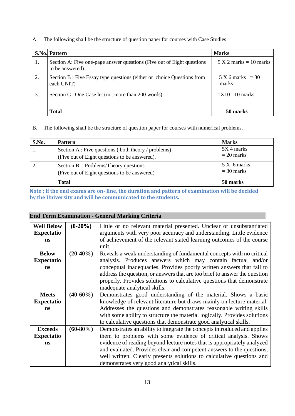A. The following shall be the structure of question paper for courses with Case Studies

|    | <b>S.No. Pattern</b>                                                                        | <b>Marks</b>                |
|----|---------------------------------------------------------------------------------------------|-----------------------------|
| 1. | Section A: Five one-page answer questions (Five out of Eight questions)<br>to be answered). | $5 X 2 marks = 10 marks$    |
| 2. | Section B : Five Essay type questions (either or choice Questions from<br>each UNIT)        | $5 X 6 marks = 30$<br>marks |
| 3. | Section C : One Case let (not more than 200 words)                                          | $1X10 = 10$ marks           |
|    | <b>Total</b>                                                                                | 50 marks                    |

### B. The following shall be the structure of question paper for courses with numerical problems.

| S.No. | <b>Pattern</b>                                      | <b>Marks</b> |
|-------|-----------------------------------------------------|--------------|
|       | Section A : Five questions (both theory / problems) | 5X 4 marks   |
|       | (Five out of Eight questions to be answered).       | $= 20$ marks |
|       | Section B: Problems/Theory questions                | 5 X 6 marks  |
|       | (Five out of Eight questions to be answered)        | $=$ 30 marks |
|       | <b>Total</b>                                        | 50 marks     |

**Note : If the end exams are on- line, the duration and pattern of examination will be decided by the University and will be communicated to the students.**

# **End Term Examination - General Marking Criteria**

| <b>Well Below</b> | $(0-20\%)$  | Little or no relevant material presented. Unclear or unsubstantiated       |  |  |  |  |
|-------------------|-------------|----------------------------------------------------------------------------|--|--|--|--|
| <b>Expectatio</b> |             | arguments with very poor accuracy and understanding. Little evidence       |  |  |  |  |
| <b>ns</b>         |             | of achievement of the relevant stated learning outcomes of the course      |  |  |  |  |
|                   |             | unit.                                                                      |  |  |  |  |
|                   |             |                                                                            |  |  |  |  |
| <b>Below</b>      | $(20-40\%)$ | Reveals a weak understanding of fundamental concepts with no critical      |  |  |  |  |
| <b>Expectatio</b> |             | analysis. Produces answers which may contain factual and/or                |  |  |  |  |
| <b>ns</b>         |             | conceptual inadequacies. Provides poorly written answers that fail to      |  |  |  |  |
|                   |             | address the question, or answers that are too brief to answer the question |  |  |  |  |
|                   |             | properly. Provides solutions to calculative questions that demonstrate     |  |  |  |  |
|                   |             | inadequate analytical skills.                                              |  |  |  |  |
|                   |             |                                                                            |  |  |  |  |
| <b>Meets</b>      | $(40-60\%)$ | Demonstrates good understanding of the material. Shows a basic             |  |  |  |  |
| <b>Expectatio</b> |             | knowledge of relevant literature but draws mainly on lecture material.     |  |  |  |  |
| ns                |             | Addresses the questions and demonstrates reasonable writing skills         |  |  |  |  |
|                   |             | with some ability to structure the material logically. Provides solutions  |  |  |  |  |
|                   |             | to calculative questions that demonstrate good analytical skills.          |  |  |  |  |
| <b>Exceeds</b>    | $(60-80\%)$ | Demonstrates an ability to integrate the concepts introduced and applies   |  |  |  |  |
| <b>Expectatio</b> |             | them to problems with some evidence of critical analysis. Shows            |  |  |  |  |
| <b>ns</b>         |             | evidence of reading beyond lecture notes that is appropriately analyzed    |  |  |  |  |
|                   |             | and evaluated. Provides clear and competent answers to the questions,      |  |  |  |  |
|                   |             | well written. Clearly presents solutions to calculative questions and      |  |  |  |  |
|                   |             | demonstrates very good analytical skills.                                  |  |  |  |  |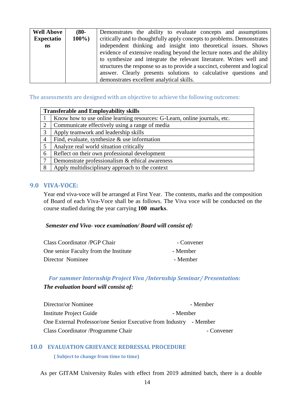| <b>Well Above</b> | $(80 -$ | Demonstrates the ability to evaluate concepts and assumptions             |  |  |  |
|-------------------|---------|---------------------------------------------------------------------------|--|--|--|
| <b>Expectatio</b> | $100\%$ | critically and to thoughtfully apply concepts to problems. Demonstrates   |  |  |  |
| ns                |         | independent thinking and insight into theoretical issues. Shows           |  |  |  |
|                   |         | evidence of extensive reading beyond the lecture notes and the ability    |  |  |  |
|                   |         | to synthesize and integrate the relevant literature. Writes well and      |  |  |  |
|                   |         | structures the response so as to provide a succinct, coherent and logical |  |  |  |
|                   |         | answer. Clearly presents solutions to calculative questions and           |  |  |  |
|                   |         | demonstrates excellent analytical skills.                                 |  |  |  |

The assessments are designed with an objective to achieve the following outcomes:

|                 | <b>Transferable and Employability skills</b>                              |  |  |  |  |
|-----------------|---------------------------------------------------------------------------|--|--|--|--|
|                 | Know how to use online learning resources: G-Learn, online journals, etc. |  |  |  |  |
| 2               | Communicate effectively using a range of media                            |  |  |  |  |
| 3               | Apply teamwork and leadership skills                                      |  |  |  |  |
| $\overline{4}$  | Find, evaluate, synthesize $\&$ use information                           |  |  |  |  |
| $5\overline{)}$ | Analyze real world situation critically                                   |  |  |  |  |
| 6               | Reflect on their own professional development                             |  |  |  |  |
| $\overline{7}$  | Demonstrate professionalism & ethical awareness                           |  |  |  |  |
| 8               | Apply multidisciplinary approach to the context                           |  |  |  |  |

#### **9.0 VIVA-VOCE:**

Year end viva-voce will be arranged at First Year. The contents, marks and the composition of Board of each Viva-Voce shall be as follows. The Viva voce will be conducted on the course studied during the year carrying **100 marks**.

#### *Semester end Viva- voce examination/ Board will consist of:*

| Class Coordinator / PGP Chair         | - Convener |
|---------------------------------------|------------|
| One senior Faculty from the Institute | - Member   |
| Director Nominee                      | - Member   |

# *For summer Internship Project Viva /Internship Seminar/ Presentation: The evaluation board will consist of:*

| Director/or Nominee                                                |          | - Member   |
|--------------------------------------------------------------------|----------|------------|
| Institute Project Guide                                            | - Member |            |
| One External Professor/one Senior Executive from Industry - Member |          |            |
| Class Coordinator / Programme Chair                                |          | - Convener |

#### **10.0 EVALUATION GRIEVANCE REDRESSAL PROCEDURE**

#### **( Subject to change from time to time)**

As per GITAM University Rules with effect from 2019 admitted batch, there is a double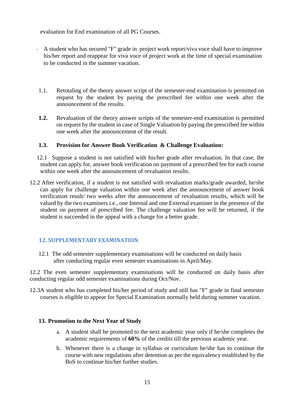evaluation for End examination of all PG Courses.

- A student who has secured "F" grade in project work report/viva voce shall have to improve his/her report and reappear for viva voce of project work at the time of special examination to be conducted in the summer vacation.

- 1.1. Retotaling of the theory answer script of the semester-end examination is permitted on request by the student by paying the prescribed fee within one week after the announcement of the results.
- **1.2.** Revaluation of the theory answer scripts of the semester-end examination is permitted on request by the student in case of Single Valuation by paying the prescribed fee within one week after the announcement of the result.

# **1.3. Provision for Answer Book Verification & Challenge Evaluation:**

- 12.1 Suppose a student is not satisfied with his/her grade after revaluation. In that case, the student can apply for, answer book verification on payment of a prescribed fee for each course within one week after the announcement of revaluation results.
- 12.2 After verification, if a student is not satisfied with revaluation marks/grade awarded, he/she can apply for challenge valuation within one week after the announcement of answer book verification result/ two weeks after the announcement of revaluation results, which will be valued by the two examiners i.e., one Internal and one External examiner in the presence of the student on payment of prescribed fee. The challenge valuation fee will be returned, if the student is succeeded in the appeal with a change for a better grade.

#### **12. SUPPLEMENTARY EXAMINATION**

12.1 The odd semester supplementary examinations will be conducted on daily basis after conducting regular even semester examinations in April/May.

12.2 The even semester supplementary examinations will be conducted on daily basis after conducting regular odd semester examinations during Oct/Nov.

12.3A student who has completed his/her period of study and still has "F" grade in final semester courses is eligible to appear for Special Examination normally held during summer vacation.

#### **13. Promotion to the Next Year of Study**

- a. A student shall be promoted to the next academic year only if he/she completes the academic requirements of **60%** of the credits till the previous academic year.
- b. Whenever there is a change in syllabus or curriculum he/she has to continue the course with new regulations after detention as per the equivalency established by the BoS to continue his/her further studies.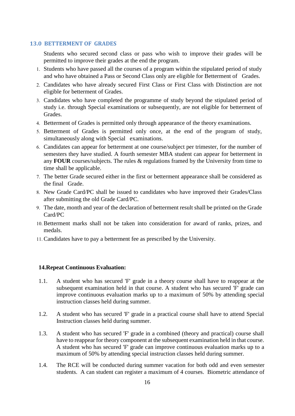#### **13.0 BETTERMENT OF GRADES**

Students who secured second class or pass who wish to improve their grades will be permitted to improve their grades at the end the program.

- 1. Students who have passed all the courses of a program within the stipulated period of study and who have obtained a Pass or Second Class only are eligible for Betterment of Grades.
- 2. Candidates who have already secured First Class or First Class with Distinction are not eligible for betterment of Grades.
- 3. Candidates who have completed the programme of study beyond the stipulated period of study i.e. through Special examinations or subsequently, are not eligible for betterment of Grades.
- 4. Betterment of Grades is permitted only through appearance of the theory examinations.
- 5. Betterment of Grades is permitted only once, at the end of the program of study, simultaneously along with Special examinations.
- 6. Candidates can appear for betterment at one course/subject per trimester, for the number of semesters they have studied. A fourth semester MBA student can appear for betterment in any **FOUR** courses/subjects. The rules & regulations framed by the University from time to time shall be applicable.
- 7. The better Grade secured either in the first or betterment appearance shall be considered as the final Grade.
- 8. New Grade Card/PC shall be issued to candidates who have improved their Grades/Class after submitting the old Grade Card/PC.
- 9. The date, month and year of the declaration of betterment result shall be printed on the Grade Card/PC
- 10. Betterment marks shall not be taken into consideration for award of ranks, prizes, and medals.
- 11. Candidates have to pay a betterment fee as prescribed by the University.

#### **14.Repeat Continuous Evaluation:**

- 1.1. A student who has secured 'F' grade in a theory course shall have to reappear at the subsequent examination held in that course. A student who has secured 'F' grade can improve continuous evaluation marks up to a maximum of 50% by attending special instruction classes held during summer.
- 1.2. A student who has secured 'F' grade in a practical course shall have to attend Special Instruction classes held during summer.
- 1.3. A student who has secured 'F' grade in a combined (theory and practical) course shall have to reappear for theory component at the subsequent examination held in that course. A student who has secured 'F' grade can improve continuous evaluation marks up to a maximum of 50% by attending special instruction classes held during summer.
- 1.4. The RCE will be conducted during summer vacation for both odd and even semester students. A can student can register a maximum of 4 courses. Biometric attendance of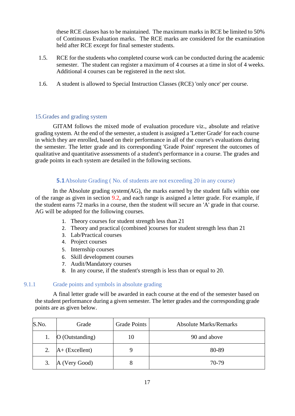these RCE classes has to be maintained. The maximum marks in RCE be limited to 50% of Continuous Evaluation marks. The RCE marks are considered for the examination held after RCE except for final semester students.

- 1.5. RCE for the students who completed course work can be conducted during the academic semester. The student can register a maximum of 4 courses at a time in slot of 4 weeks. Additional 4 courses can be registered in the next slot.
- 1.6. A student is allowed to Special Instruction Classes (RCE) 'only once' per course.

### 15.Grades and grading system

GITAM follows the mixed mode of evaluation procedure viz., absolute and relative grading system. At the end of the semester, a student is assigned a 'Letter Grade' for each course in which they are enrolled, based on their performance in all of the course's evaluations during the semester. The letter grade and its corresponding 'Grade Point' represent the outcomes of qualitative and quantitative assessments of a student's performance in a course. The grades and grade points in each system are detailed in the following sections.

### **5.1**Absolute Grading (No. of students are not exceeding 20 in any course)

In the Absolute grading system(AG), the marks earned by the student falls within one of the range as given in section 9.2, and each range is assigned a letter grade. For example, if the student earns 72 marks in a course, then the student will secure an 'A' grade in that course. AG will be adopted for the following courses.

- 1. Theory courses for student strength less than 21
- 2. Theory and practical (combined )courses for student strength less than 21
- 3. Lab/Practical courses
- 4. Project courses
- 5. Internship courses
- 6. Skill development courses
- 7. Audit/Mandatory courses
- 8. In any course, if the student's strength is less than or equal to 20.

#### 9.1.1 Grade points and symbols in absolute grading

A final letter grade will be awarded in each course at the end of the semester based on the student performance during a given semester. The letter grades and the corresponding grade points are as given below.

| S.No. | Grade             | <b>Grade Points</b> | <b>Absolute Marks/Remarks</b> |
|-------|-------------------|---------------------|-------------------------------|
|       | $O$ (Outstanding) | 10                  | 90 and above                  |
| 2.    | $A+$ (Excellent)  |                     | 80-89                         |
| 3.    | A (Very Good)     | 8                   | 70-79                         |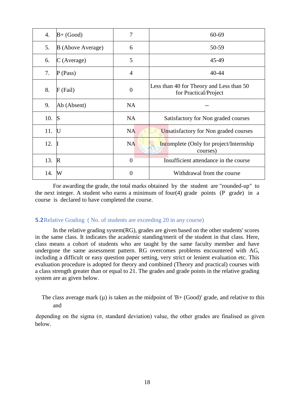| 4.  | $B+$ (Good)       | 7              | $60 - 69$                                                         |
|-----|-------------------|----------------|-------------------------------------------------------------------|
| 5.  | B (Above Average) | 6              | 50-59                                                             |
| 6.  | $C$ (Average)     | 5              | 45-49                                                             |
| 7.  | $P$ (Pass)        | $\overline{4}$ | 40-44                                                             |
| 8.  | $F$ (Fail)        | $\overline{0}$ | Less than 40 for Theory and Less than 50<br>for Practical/Project |
| 9.  | Ab (Absent)       | <b>NA</b>      |                                                                   |
| 10. | <sub>S</sub>      | <b>NA</b>      | Satisfactory for Non graded courses                               |
| 11. | $\bf U$           | <b>NA</b>      | Unsatisfactory for Non graded courses                             |
| 12. |                   | <b>NA</b>      | <b>Incomplete</b> (Only for project/Internship)<br>courses)       |
| 13. | $\mathbb{R}$      | $\overline{0}$ | Insufficient attendance in the course                             |
| 14. | W                 | $\overline{0}$ | Withdrawal from the course                                        |

For awarding the grade, the total marks obtained by the student are "rounded-up" to the next integer. A student who earns a minimum of four(4) grade points (P grade) in a course is declared to have completed the course.

#### **5.2**Relative Grading ( No. of students are exceeding 20 in any course)

In the relative grading system(RG), grades are given based on the other students' scores in the same class. It indicates the academic standing/merit of the student in that class. Here, class means a cohort of students who are taught by the same faculty member and have undergone the same assessment pattern. RG overcomes problems encountered with AG, including a difficult or easy question paper setting, very strict or lenient evaluation etc. This evaluation procedure is adopted for theory and combined (Theory and practical) courses with a class strength greater than or equal to 21. The grades and grade points in the relative grading system are as given below.

# The class average mark ( $\mu$ ) is taken as the midpoint of 'B+ (Good)' grade, and relative to this and

depending on the sigma ( $\sigma$ , standard deviation) value, the other grades are finalised as given below.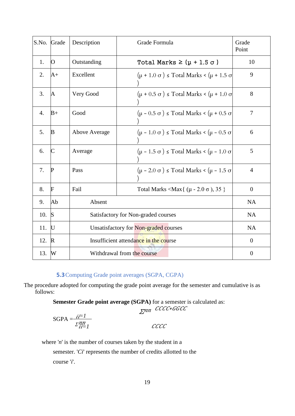| S.No. | Grade                   | Description                           | Grade Formula                                                     | Grade<br>Point   |
|-------|-------------------------|---------------------------------------|-------------------------------------------------------------------|------------------|
| 1.    | $\overline{O}$          | Outstanding                           | Total Marks $\geq (\mu + 1.5 \sigma)$                             | 10               |
| 2.    | $A+$                    | Excellent                             | $(\mu + 1.0 \sigma) \leq \text{Total Marks} < (\mu + 1.5 \sigma)$ | 9                |
| 3.    | A                       | Very Good                             | $(\mu + 0.5 \sigma) \leq \text{Total Marks} < (\mu + 1.0 \sigma)$ | 8                |
| 4.    | $B+$                    | Good                                  | $(\mu - 0.5 \sigma) \leq \text{Total Marks} < (\mu + 0.5 \sigma)$ | 7                |
| 5.    | $\mathbf{B}$            | <b>Above Average</b>                  | $(\mu - 1.0 \sigma) \le \text{Total Marks} < (\mu - 0.5 \sigma)$  | 6                |
| 6.    | $\overline{\mathsf{C}}$ | Average                               | $(\mu - 1.5 \sigma) \leq \text{Total Marks} < (\mu - 1.0 \sigma)$ | 5                |
| 7.    | $\mathbf P$             | Pass                                  | $(\mu - 2.0 \sigma) \leq \text{Total Marks} < (\mu - 1.5 \sigma)$ | $\overline{4}$   |
| 8.    | F                       | Fail                                  | Total Marks <max{ <math="">(\mu - 2.0 \sigma), 35 }</max{>        | $\boldsymbol{0}$ |
| 9.    | Ab                      | Absent                                | <b>NA</b>                                                         |                  |
| 10.   | S                       | Satisfactory for Non-graded courses   | <b>NA</b>                                                         |                  |
| 11.   | $\bf U$                 | Unsatisfactory for Non-graded courses | <b>NA</b>                                                         |                  |
| 12.   | $\mathbb{R}$            | Insufficient attendance in the course | $\theta$                                                          |                  |
| 13.   | W                       | Withdrawal from the course            | $\overline{0}$                                                    |                  |

# **5.3**Computing Grade point averages (SGPA, CGPA)

The procedure adopted for computing the grade point average for the semester and cumulative is as follows:

**Semester Grade point average (SGPA)** for a semester is calculated as:

∑nn CCCC\*GGCC

$$
SGPA = \frac{i i = 1}{\sum_{i=1}^{nn} cccc}
$$

where '*n*' is the number of courses taken by the student in a

semester. '*Ci*' represents the number of credits allotted to the course '*i*'.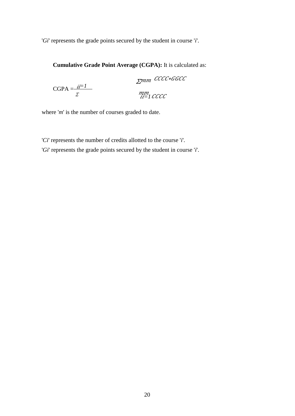'*Gi*' represents the grade points secured by the student in course '*i*'.

**Cumulative Grade Point Average (CGPA):** It is calculated as:

$$
\text{CGPA} = \frac{\text{ii}=1}{\text{I}} \qquad \text{m m} \text{ CCCC} * GGC
$$

where '*m*' is the number of courses graded to date.

'*Ci*' represents the number of credits allotted to the course '*i*'.

'*Gi*' represents the grade points secured by the student in course '*i*'.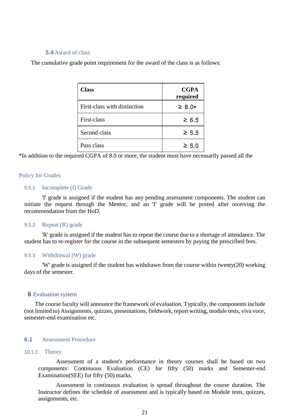#### **5.4**Award of class

The cumulative grade point requirement for the award of the class is as follows:

| <b>Class</b>                 | <b>CGPA</b><br>required |
|------------------------------|-------------------------|
| First-class with distinction | $\geq 8.0*$             |
| First-class                  | $\geq 6.5$              |
| Second class                 | $\geq 5.5$              |
| Pass class                   | $\geq 5.0$              |

\*In addition to the required CGPA of 8.0 or more, the student must have necessarily passed all the

#### Policy for Grades

#### 9.5.1 Incomplete (I) Grade

'I' grade is assigned if the student has any pending assessment components. The student can initiate the request through the Mentor, and an 'I' grade will be posted after receiving the recommendation from the HoD.

#### 9.5.2 Repeat (R) grade

'R' grade is assigned if the student has to repeat the course due to a shortage of attendance. The student has to re-register for the course in the subsequent semesters by paying the prescribed fees.

#### 9.5.3 Withdrawal (W) grade

'W' grade is assigned if the student has withdrawn from the course within twenty(20) working days of the semester.

#### **6** Evaluation system

The course faculty will announce the framework of evaluation. Typically, the components include (not limited to) Assignments, quizzes, presentations, fieldwork, report writing, module tests, viva voce, semester-end examination etc.

#### **6.1** Assessment Procedure

#### 10.1.1 Theory

Assessment of a student's performance in theory courses shall be based on two components: Continuous Evaluation (CE) for fifty (50) marks and Semester-end Examination(SEE) for fifty (50) marks.

Assessment in continuous evaluation is spread throughout the course duration. The Instructor defines the schedule of assessment and is typically based on Module tests, quizzes, assignments, etc.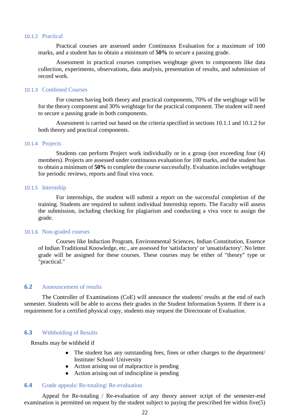#### 10.1.2 Practical

Practical courses are assessed under Continuous Evaluation for a maximum of 100 marks, and a student has to obtain a minimum of **50%** to secure a passing grade.

Assessment in practical courses comprises weightage given to components like data collection, experiments, observations, data analysis, presentation of results, and submission of record work.

#### 10.1.3 Combined Courses

For courses having both theory and practical components, 70% of the weightage will be for the theory component and 30% weightage for the practical component. The student will need to secure a passing grade in both components.

Assessment is carried out based on the criteria specified in sections 10.1.1 and 10.1.2 for both theory and practical components.

#### 10.1.4 Projects

Students can perform Project work individually or in a group (not exceeding four (4) members). Projects are assessed under continuous evaluation for 100 marks, and the student has to obtain a minimum of **50%** to complete the course successfully. Evaluation includes weightage for periodic reviews, reports and final viva voce.

#### 10.1.5 Internship

For internships, the student will submit a report on the successful completion of the training. Students are required to submit individual Internship reports. The Faculty will assess the submission, including checking for plagiarism and conducting a viva voce to assign the grade.

#### 10.1.6 Non-graded courses

Courses like Induction Program, Environmental Sciences, Indian Constitution, Essence of Indian Traditional Knowledge, etc., are assessed for 'satisfactory' or 'unsatisfactory'. No letter grade will be assigned for these courses. These courses may be either of "theory" type or "practical."

#### **6.2** Announcement of results

The Controller of Examinations (CoE) will announce the students' results at the end of each semester. Students will be able to access their grades in the Student Information System. If there is a requirement for a certified physical copy, students may request the Directorate of Evaluation.

#### **6.3** Withholding of Results

Results may be withheld if

- The student has any outstanding fees, fines or other charges to the department/ Institute/ School/ University
- Action arising out of malpractice is pending
- Action arising out of indiscipline is pending

#### **6.4** Grade appeals/ Re-totaling/ Re-evaluation

Appeal for Re-totaling / Re-evaluation of any theory answer script of the semester-end examination is permitted on request by the student subject to paying the prescribed fee within five(5)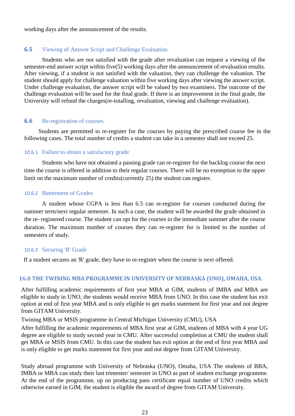working days after the announcement of the results.

#### **6.5** Viewing of Answer Script and Challenge Evaluation

Students who are not satisfied with the grade after revaluation can request a viewing of the semester-end answer script within five(5) working days after the announcement of revaluation results. After viewing, if a student is not satisfied with the valuation, they can challenge the valuation. The student should apply for challenge valuation within five working days after viewing the answer script. Under challenge evaluation, the answer script will be valued by two examiners. The outcome of the challenge evaluation will be used for the final grade. If there is an improvement in the final grade, the University will refund the charges(re-totalling, revaluation, viewing and challenge evaluation).

#### **6.6** Re-registration of courses

Students are permitted to re-register for the courses by paying the prescribed course fee in the following cases. The total number of credits a student can take in a semester shall not exceed 25.

#### 10.6.1 Failure to obtain a satisfactory grade

Students who have not obtained a passing grade can re-register for the backlog course the next time the course is offered in addition to their regular courses. There will be no exemption to the upper limit on the maximum number of credits(currently 25) the student can register.

#### 10.6.2 Betterment of Grades

A student whose CGPA is less than 6.5 can re-register for courses conducted during the summer term/next regular semester. In such a case, the student will be awarded the grade obtained in the re- registered course. The student can opt for the courses in the immediate summer after the course duration. The maximum number of courses they can re-register for is limited to the number of semesters of study.

#### 10.6.3 Securing 'R' Grade

If a student secures an 'R' grade, they have to re-register when the course is next offered.

### **16.0 THE TWINING MBA PROGRAMME IN UNIVERSITY OF NEBRASKA (UNO), OMAHA, USA.**

After fulfilling academic requirements of first year MBA at GIM, students of IMBA and MBA are eligible to study in UNO, the students would receive MBA from UNO. In this case the student has exit option at end of first year MBA and is only eligible to get marks statement for first year and not degree from GITAM University.

Twining MBA or MSIS programme in Central Michigan University (CMU), USA

After fulfilling the academic requirements of MBA first year at GIM, students of MBA with 4 year UG degree are eligible to study second year in CMU. After successful completion at CMU the student shall get MBA or MSIS from CMU. In this case the student has exit option at the end of first year MBA and is only eligible to get marks statement for first year and not degree from GITAM University.

Study abroad programme with University of Nebraska (UNO), Omaha, USA The students of BBA, IMBA or MBA can study their last trimester/ semester in UNO as part of student exchange programme. At the end of the programme, up on producing pass certificate equal number of UNO credits which otherwise earned in GIM, the student is eligible the award of degree from GITAM University.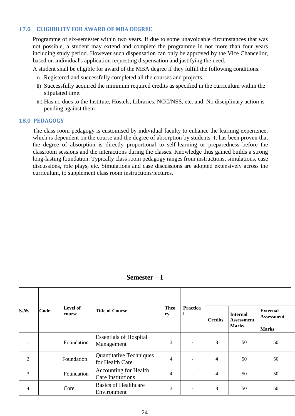#### **17.0 ELIGIBILITY FOR AWARD OF MBA DEGREE**

Programme of six-semester within two years. If due to some unavoidable circumstances that was not possible, a student may extend and complete the programme in not more than four years including study period. However such dispensation can only be approved by the Vice Chancellor, based on individual's application requesting dispensation and justifying the need.

A student shall be eligible for award of the MBA degree if they fulfill the following conditions.

- i) Registered and successfully completed all the courses and projects.
- ii) Successfully acquired the minimum required credits as specified in the curriculum within the stipulated time.
- iii) Has no dues to the Institute, Hostels, Libraries, NCC/NSS, etc. and, No disciplinary action is pending against them

#### **18.0 PEDAGOGY**

The class room pedagogy is customised by individual faculty to enhance the learning experience, which is dependent on the course and the degree of absorption by students. It has been proven that the degree of absorption is directly proportional to self-learning or preparedness before the classroom sessions and the interactions during the classes. Knowledge thus gained builds a strong long-lasting foundation. Typically class room pedagogy ranges from instructions, simulations, case discussions, role plays, etc. Simulations and case discussions are adopted extensively across the curriculum, to supplement class room instructions/lectures.

| S.No. | Code | <b>Level of</b><br>course | <b>Title of Course</b>                                   | <b>Theo</b><br><b>Practica</b><br>l<br>ry |                          | <b>Credits</b>          | <b>Internal</b><br>Assessment<br><b>Marks</b> | <b>External</b><br><b>Assessment</b><br><b>Marks</b> |
|-------|------|---------------------------|----------------------------------------------------------|-------------------------------------------|--------------------------|-------------------------|-----------------------------------------------|------------------------------------------------------|
| 1.    |      | Foundation                | <b>Essentials of Hospital</b><br>Management              | 3                                         | ۰                        | 3                       | 50                                            | 50                                                   |
| 2.    |      | Foundation                | <b>Quantitative Techniques</b><br>for Health Care        | 4                                         | ۰                        | 4                       | 50                                            | 50                                                   |
| 3.    |      | Foundation                | <b>Accounting for Health</b><br><b>Care Institutions</b> | 4                                         | $\overline{a}$           | $\overline{\mathbf{4}}$ | 50                                            | 50                                                   |
| 4.    |      | Core                      | <b>Basics of Healthcare</b><br>Environment               | 3                                         | $\overline{\phantom{a}}$ | 3                       | 50                                            | 50                                                   |

**Semester – I**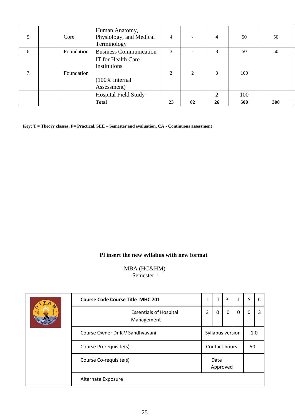| 5. | Core       | Human Anatomy,<br>Physiology, and Medical<br>Terminology                        | $\overline{4}$ |                | 4  | 50  | 50  |
|----|------------|---------------------------------------------------------------------------------|----------------|----------------|----|-----|-----|
| 6. | Foundation | <b>Business Communication</b>                                                   | 3              |                | 3  | 50  | 50  |
| 7. | Foundation | IT for Health Care<br>Institutions<br>$(100\% \text{ Internal})$<br>Assessment) | $\mathbf{2}$   | $\mathfrak{D}$ | 3  | 100 |     |
|    |            | <b>Hospital Field Study</b>                                                     |                |                | 2  | 100 |     |
|    |            | <b>Total</b>                                                                    | 23             | 02             | 26 | 500 | 300 |

**Key: T = Theory classes, P= Practical, SEE – Semester end evaluation, CA - Continuous assessment**

# **Pl insert the new syllabus with new format**

MBA (HC&HM) Semester 1

|  | <b>Course Code Course Title MHC 701</b>     |                  |                  | P        |   | S   |  |
|--|---------------------------------------------|------------------|------------------|----------|---|-----|--|
|  | <b>Essentials of Hospital</b><br>Management | 3                | 0                | $\Omega$ | 0 | O   |  |
|  | Course Owner Dr K V Sandhyavani             | Syllabus version |                  |          |   | 1.0 |  |
|  | Course Prerequisite(s)                      | Contact hours    |                  |          |   | 50  |  |
|  | Course Co-requisite(s)                      |                  | Date<br>Approved |          |   |     |  |
|  | Alternate Exposure                          |                  |                  |          |   |     |  |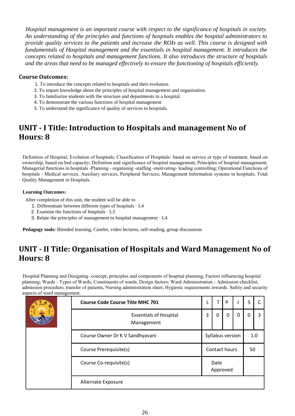*Hospital management is an important course with respect to the significance of hospitals in society. An understanding of the principles and functions of hospitals enables the hospital administrators to provide quality services to the patients and increase the ROIs as well. This course is designed with fundamentals of Hospital management and the essentials in hospital management. It introduces the concepts related to hospitals and management functions. It also introduces the structure of hospitals and the areas that need to be managed effectively to ensure the functioning of hospitals efficiently.*

### **Course Outcomes:**

- 1. To introduce the concepts related to hospitals and their evolution.
- 2. To impart knowledge about the principles of hospital management and organisation.
- 3. To familiarize students with the structure and departments in a hospital.
- 4. To demonstrate the various functions of hospital management
- 5. To understand the significance of quality of services in hospitals.

# **UNIT - I Title: Introduction to Hospitals and management No of Hours: 8**

Definition of Hospital; Evolution of hospitals; Classification of Hospitals- based on service or type of treatment, based on ownership, based on bed capacity; Definition and significance of hospital management; Principles of hospital management; Managerial functions in hospitals -Planning - organising -staffing -motivating- leading controlling; Operational Functions of hospitals - Medical services, Auxiliary services, Peripheral Services; Management Information systems in hospitals; Total Quality Management in Hospitals.

#### **Learning Outcomes:**

After completion of this unit, the student will be able to

- 1. Differentiate between different types of hospitals · L4
- 2. Examine the functions of hospitals · L3
- 3. Relate the principles of management to hospital management · L4

**Pedagogy tools:** Blended learning, Caselet, video lectures, self-reading, group discussions

# **UNIT - II Title: Organisation of Hospitals and Ward Management No of Hours: 8**

Hospital Planning and Designing- concept, principles and components of hospital planning, Factors influencing hospital planning; Wards - Types of Wards; Constituents of wards, Design factors; Ward Administration - Admission checklist, admission procedure, transfer of patients, Nursing administration sheet, Hygienic requirements inwards. Safety and security aspects of ward management.

| <b>Course Code Course Title MHC 701</b>     |                  | т | P |   | S   |   |
|---------------------------------------------|------------------|---|---|---|-----|---|
| <b>Essentials of Hospital</b><br>Management | 3                | 0 | 0 | 0 | 0   | 3 |
| Course Owner Dr K V Sandhyavani             | Syllabus version |   |   |   | 1.0 |   |
| Course Prerequisite(s)                      | Contact hours    |   |   |   | 50  |   |
| Course Co-requisite(s)                      | Date<br>Approved |   |   |   |     |   |
| Alternate Exposure                          |                  |   |   |   |     |   |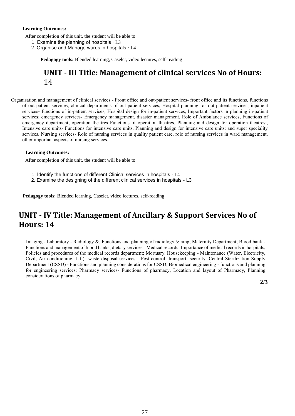#### **Learning Outcomes:**

After completion of this unit, the student will be able to

- 1. Examine the planning of hospitals ∙ L3
- 2. Organise and Manage wards in hospitals ∙ L4

**Pedagogy tools:** Blended learning, Caselet, video lectures, self-reading

# **UNIT - III Title: Management of clinical services No of Hours:**  14

Organisation and management of clinical services - Front office and out-patient services- front office and its functions, functions of out-patient services, clinical departments of out-patient services, Hospital planning for out-patient services; inpatient services- functions of in-patient services, Hospital design for in-patient services, Important factors in planning in-patient services; emergency services- Emergency management, disaster management, Role of Ambulance services, Functions of emergency department; operation theatres Functions of operation theatres, Planning and design for operation theatres;, Intensive care units- Functions for intensive care units, Planning and design for intensive care units; and super speciality services. Nursing services- Role of nursing services in quality patient care, role of nursing services in ward management, other important aspects of nursing services.

#### **Learning Outcomes:**

After completion of this unit, the student will be able to

- 1. Identify the functions of different Clinical services in hospitals ∙ L4
- 2. Examine the designing of the different clinical services in hospitals L3

**Pedagogy tools:** Blended learning, Caselet, video lectures, self-reading

# **UNIT - IV Title: Management of Ancillary & Support Services No of Hours: 14**

Imaging - Laboratory - Radiology &, Functions and planning of radiology & amp; Maternity Department; Blood bank - Functions and management of blood banks; dietary services - Medical records- Importance of medical records in hospitals, Policies and procedures of the medical records department; Mortuary. Housekeeping - Maintenance (Water, Electricity, Civil, Air conditioning, Lift)- waste disposal services - Pest control -transport- security. Central Sterilization Supply Department (CSSD) - Functions and planning considerations for CSSD; Biomedical engineering - functions and planning for engineering services; Pharmacy services- Functions of pharmacy, Location and layout of Pharmacy, Planning considerations of pharmacy.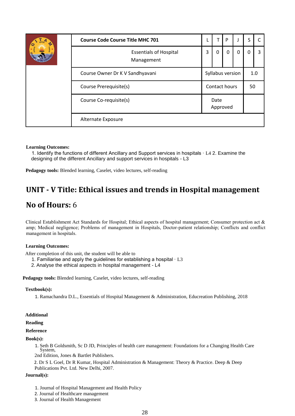| <b>Course Code Course Title MHC 701</b>     |                  | Т | P |   | S   |    |
|---------------------------------------------|------------------|---|---|---|-----|----|
| <b>Essentials of Hospital</b><br>Management | 3                | 0 | 0 | 0 | 0   | 3  |
| Course Owner Dr K V Sandhyavani             | Syllabus version |   |   |   | 1.0 |    |
| Contact hours<br>Course Prerequisite(s)     |                  |   |   |   |     | 50 |
| Course Co-requisite(s)                      | Date<br>Approved |   |   |   |     |    |
| Alternate Exposure                          |                  |   |   |   |     |    |

#### **Learning Outcomes:**

1. Identify the functions of different Ancillary and Support services in hospitals ∙ L4 2. Examine the designing of the different Ancillary and support services in hospitals - L3

**Pedagogy tools:** Blended learning, Caselet, video lectures, self-reading

# **UNIT - V Title: Ethical issues and trends in Hospital management**

# **No of Hours:** 6

Clinical Establishment Act Standards for Hospital; Ethical aspects of hospital management; Consumer protection act & amp; Medical negligence; Problems of management in Hospitals, Doctor-patient relationship; Conflicts and conflict management in hospitals.

#### **Learning Outcomes:**

After completion of this unit, the student will be able to

- 1. Familiarise and apply the guidelines for establishing a hospital ∙ L3
- 2. Analyse the ethical aspects in hospital management L4

**Pedagogy tools:** Blended learning, Caselet, video lectures, self-reading

#### **Textbook(s):**

1. Ramachandra D.L., Essentials of Hospital Management & Administration, Educreation Publishing, 2018

#### **Additional**

#### **Reading**

#### **Reference**

**Book(s):**

1. Seth B Goldsmith, Sc D JD, Principles of health care management: Foundations for a Changing Health Care System,

2nd Edition, Jones & Bartlet Publishers.

2. Dr S L Goel, Dr R Kumar, Hospital Administration & Management: Theory & Practice. Deep & Deep Publications Pvt. Ltd. New Delhi, 2007.

#### **Journal(s):**

- 1. Journal of Hospital Management and Health Policy
- 2. Journal of Healthcare management
- 3. Journal of Health Management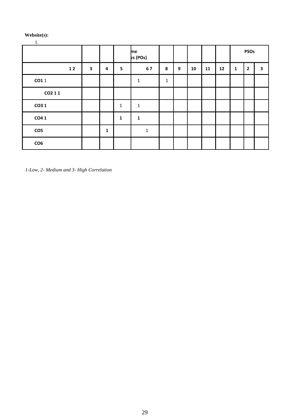#### **Website(s):**

# 1.

|                 |    |              |              |              | me<br>es (POs) |             |                  |    |    |    |              | <b>PSOs</b>             |   |
|-----------------|----|--------------|--------------|--------------|----------------|-------------|------------------|----|----|----|--------------|-------------------------|---|
|                 | 12 | $\mathbf{3}$ | 4            | 5            | 67             | 8           | $\boldsymbol{9}$ | 10 | 11 | 12 | $\mathbf{1}$ | $\overline{\mathbf{2}}$ | 3 |
| CO11            |    |              |              |              | $\mathbf{1}$   | $\mathbf 1$ |                  |    |    |    |              |                         |   |
| CO2 11          |    |              |              |              |                |             |                  |    |    |    |              |                         |   |
| CO3 1           |    |              |              | $\mathbf{1}$ | $\mathbf{1}$   |             |                  |    |    |    |              |                         |   |
| CO41            |    |              |              | $\mathbf{1}$ | $\mathbf{1}$   |             |                  |    |    |    |              |                         |   |
| CO <sub>5</sub> |    |              | $\mathbf{1}$ |              | $\mathbf{1}$   |             |                  |    |    |    |              |                         |   |
| CO6             |    |              |              |              |                |             |                  |    |    |    |              |                         |   |

*1-Low, 2- Medium and 3- High Correlation*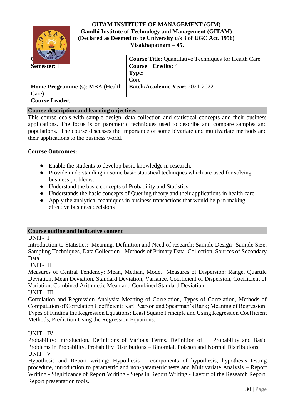

### **GITAM INSTITUTE OF MANAGEMENT (GIM) Gandhi Institute of Technology and Management (GITAM) (Declared as Deemed to be University u/s 3 of UGC Act. 1956) Visakhapatnam – 45.**

|                                        |               | <b>Course Title:</b> Quantitative Techniques for Health Care |
|----------------------------------------|---------------|--------------------------------------------------------------|
| Semester: I                            | <b>Course</b> | Credits: 4                                                   |
|                                        | <b>Type:</b>  |                                                              |
|                                        | Core          |                                                              |
| <b>Home Programme</b> (s): MBA (Health |               | Batch/Academic Year: 2021-2022                               |
| Care)                                  |               |                                                              |
| <b>Course Leader:</b>                  |               |                                                              |

### **Course description and learning objectives**

This course deals with sample design, data collection and statistical concepts and their business applications. The focus is on parametric techniques used to describe and compare samples and populations. The course discusses the importance of some bivariate and multivariate methods and their applications to the business world.

### **Course Outcomes:**

- Enable the students to develop basic knowledge in research.
- Provide understanding in some basic statistical techniques which are used for solving. business problems.
- Understand the basic concepts of Probability and Statistics.
- Understands the basic concepts of Queuing theory and their applications in health care.
- Apply the analytical techniques in business transactions that would help in making. effective business decisions

#### **Course outline and indicative content**

UNIT- I

Introduction to Statistics: Meaning, Definition and Need of research; Sample Design- Sample Size, Sampling Techniques, Data Collection - Methods of Primary Data Collection, Sources of Secondary Data.

#### UNIT- II

Measures of Central Tendency: Mean, Median, Mode. Measures of Dispersion: Range, Quartile Deviation, Mean Deviation, Standard Deviation, Variance, Coefficient of Dispersion, Coefficient of Variation, Combined Arithmetic Mean and Combined Standard Deviation.

UNIT- III

Correlation and Regression Analysis: Meaning of Correlation, Types of Correlation, Methods of Computation of Correlation Coefficient: Karl Pearson and Spearman's Rank; Meaning of Regression, Types of Finding the Regression Equations: Least Square Principle and Using Regression Coefficient Methods, Prediction Using the Regression Equations.

#### UNIT - IV

Probability: Introduction, Definitions of Various Terms, Definition of Probability and Basic Problems in Probability. Probability Distributions – Binomial, Poisson and Normal Distributions. UNIT –V

Hypothesis and Report writing: Hypothesis – components of hypothesis, hypothesis testing procedure, introduction to parametric and non-parametric tests and Multivariate Analysis – Report Writing - Significance of Report Writing - Steps in Report Writing - Layout of the Research Report, Report presentation tools.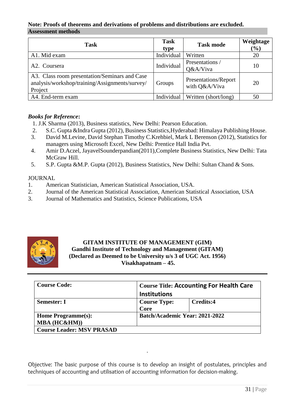### **Note: Proofs of theorems and derivations of problems and distributions are excluded. Assessment methods**

| Task                                                                                                       | <b>Task</b><br>type | <b>Task mode</b>                      | Weightage<br>$\left(\frac{0}{0}\right)$ |
|------------------------------------------------------------------------------------------------------------|---------------------|---------------------------------------|-----------------------------------------|
| A1. Mid exam                                                                                               | Individual          | Written                               | 20                                      |
| A2. Coursera                                                                                               | Individual          | Presentations /<br>Q&A/Viva           | 10                                      |
| A3. Class room presentation/Seminars and Case<br>analysis/workshop/training/Assignments/survey/<br>Project | Groups              | Presentations/Report<br>with Q&A/Viva | 20                                      |
| A4. End-term exam                                                                                          | Individual          | Written (short/long)                  | 50                                      |

# *Books for Reference***:**

- 1. J.K Sharma (2013), Business statistics, New Delhi: Pearson Education.
- 2. S.C. Gupta &Indra Gupta (2012), Business Statistics,Hyderabad: Himalaya Publishing House.
- 3. David M.Levine, David Stephan Timothy C.Krehbiel, Mark L Berenson (2012), Statistics for managers using Microsoft Excel, New Delhi: Prentice Hall India Pvt.
- 4. Amir D.Aczel, JayavelSounderpandian(2011),Complete Business Statistics, New Delhi: Tata McGraw Hill.
- 5. S.P. Gupta &M.P. Gupta (2012), Business Statistics, New Delhi: Sultan Chand & Sons.

# JOURNAL

- 1. American Statistician, American Statistical Association, USA.
- 2. Journal of the American Statistical Association, American Statistical Association, USA
- 3. Journal of Mathematics and Statistics, Science Publications, USA



# **GITAM INSTITUTE OF MANAGEMENT (GIM) Gandhi Institute of Technology and Management (GITAM) (Declared as Deemed to be University u/s 3 of UGC Act. 1956) Visakhapatnam – 45.**

| <b>Course Code:</b>              | <b>Course Title: Accounting For Health Care</b> |           |  |  |  |  |
|----------------------------------|-------------------------------------------------|-----------|--|--|--|--|
|                                  | <b>Institutions</b>                             |           |  |  |  |  |
| <b>Semester: I</b>               | <b>Course Type:</b>                             | Credits:4 |  |  |  |  |
|                                  | Core                                            |           |  |  |  |  |
| Home Programme(s):               | Batch/Academic Year: 2021-2022                  |           |  |  |  |  |
| MBA (HC&HM))                     |                                                 |           |  |  |  |  |
| <b>Course Leader: MSV PRASAD</b> |                                                 |           |  |  |  |  |

Objective: The basic purpose of this course is to develop an insight of postulates, principles and techniques of accounting and utilisation of accounting information for decision-making.

.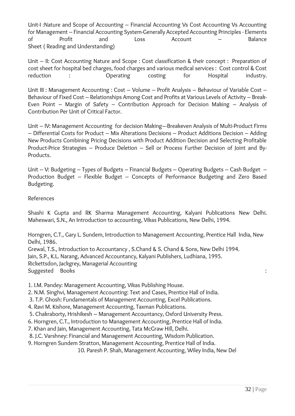Unit-I :Nature and Scope of Accounting – Financial Accounting Vs Cost Accounting Vs Accounting for Management – Financial Accounting System-Generally Accepted Accounting Principles - Elements of Profit and Loss Account – Balance Sheet ( Reading and Understanding)

Unit – II: Cost Accounting Nature and Scope : Cost classification & their concept : Preparation of cost sheet for hospital bed charges, food charges and various medical services : Cost control & Cost reduction : Operating costing for Hospital industry.

Unit III : Management Accounting : Cost – Volume – Profit Analysis – Behaviour of Variable Cost – Behaviour of Fixed Cost – Relationships Among Cost and Profits at Various Levels of Activity – Break-Even Point – Margin of Safety – Contribution Approach for Decision Making – Analysis of Contribution Per Unit of Critical Factor.

Unit – IV: Management Accounting for decision Making–-Breakeven Analysis of Multi-Product Firms – Differential Costs for Product – Mix Alterations Decisions – Product Additions Decision – Adding New Products Combining Pricing Decisions with Product Addition Decision and Selecting Profitable Product-Price Strategies – Produce Deletion – Sell or Process Further Decision of Joint and By-Products.

Unit – V: Budgeting – Types of Budgets – Financial Budgets – Operating Budgets – Cash Budget – Production Budget – Flexible Budget – Concepts of Performance Budgeting and Zero Based Budgeting.

# References

Shashi K Gupta and RK Sharma Management Accounting, Kalyani Publications New Delhi. Maheswari, S.N., An Introduction to accounting, Vikas Publications, New Delhi, 1994.

Horngren, C.T., Gary L. Sundem, Introduction to Management Accounting, Prentice Hall India, New Delhi, 1986.

Grewal, T.S., Introduction to Accountancy , S.Chand & S. Chand & Sons, New Delhi 1994. Jain, S.P., K.L. Narang, Advanced Accountancy, Kalyani Publishers, Ludhiana, 1995. Rickettsdon, Jackgrey, Managerial Accounting Suggested Books :

1. I.M. Pandey: Management Accounting, Vikas Publishing House.

2. N.M. Singhvi, Management Accounting: Text and Cases, Prentice Hall of India.

3. T.P. Ghosh: Fundamentals of Management Accounting, Excel Publications.

4. Ravi M. Kishore, Management Accounting, Taxman Publications.

5. Chakraborty, Hrishikesh – Management Accountancy, Oxford University Press.

6. Horngren, C.T., Introduction to Management Accounting, Prentice Hall of India.

7. Khan and Jain, Management Accounting, Tata McGraw Hill, Delhi.

8. J.C. Varshney: Financial and Management Accounting, Wisdom Publication.

9. Horngren Sundem Stratton, Management Accounting, Prentice Hall of India.

10. Paresh P. Shah, Management Accounting, Wiley India, New Del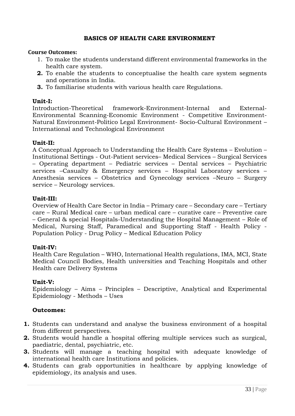# **BASICS OF HEALTH CARE ENVIRONMENT**

### **Course Outcomes:**

- 1. To make the students understand different environmental frameworks in the health care system.
- **2.** To enable the students to conceptualise the health care system segments and operations in India.
- **3.** To familiarise students with various health care Regulations.

### **Unit-I:**

Introduction-Theoretical framework-Environment-Internal and External-Environmental Scanning-Economic Environment - Competitive Environment-Natural Environment-Politico Legal Environment- Socio-Cultural Environment – International and Technological Environment

#### **Unit-II:**

A Conceptual Approach to Understanding the Health Care Systems – Evolution – Institutional Settings - Out-Patient services– Medical Services – Surgical Services – Operating department – Pediatric services – Dental services – Psychiatric services –Casualty & Emergency services – Hospital Laboratory services – Anesthesia services – Obstetrics and Gynecology services –Neuro – Surgery service – Neurology services.

### **Unit-III:**

Overview of Health Care Sector in India – Primary care – Secondary care – Tertiary care – Rural Medical care – urban medical care – curative care – Preventive care – General & special Hospitals-Understanding the Hospital Management – Role of Medical, Nursing Staff, Paramedical and Supporting Staff - Health Policy - Population Policy - Drug Policy – Medical Education Policy

#### **Unit-IV:**

Health Care Regulation – WHO, International Health regulations, IMA, MCI, State Medical Council Bodies, Health universities and Teaching Hospitals and other Health care Delivery Systems

#### **Unit-V:**

Epidemiology – Aims – Principles – Descriptive, Analytical and Experimental Epidemiology - Methods – Uses

# **Outcomes:**

- **1.** Students can understand and analyse the business environment of a hospital from different perspectives.
- **2.** Students would handle a hospital offering multiple services such as surgical, paediatric, dental, psychiatric, etc.
- **3.** Students will manage a teaching hospital with adequate knowledge of international health care Institutions and policies.
- **4.** Students can grab opportunities in healthcare by applying knowledge of epidemiology, its analysis and uses.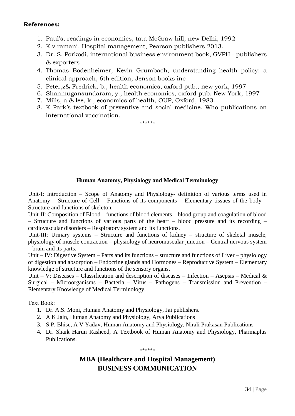# **References:**

- 1. Paul's, readings in economics, tata McGraw hill, new Delhi, 1992
- 2. K.v.ramani. Hospital management, Pearson publishers,2013.
- 3. Dr. S. Porkodi, international business environment book, GVPH publishers & exporters
- 4. Thomas Bodenheimer, Kevin Grumbach, understanding health policy: a clinical approach, 6th edition, Jenson books inc
- 5. Peter,z& Fredrick, b., health economics, oxford pub., new york, 1997
- 6. Shanmugansundaram, y., health economics, oxford pub. New York, 1997
- 7. Mills, a & lee, k., economics of health, OUP, Oxford, 1983.
- 8. K Park's textbook of preventive and social medicine. Who publications on international vaccination.

\*\*\*\*\*\*

# **Human Anatomy, Physiology and Medical Terminology**

Unit-I: Introduction – Scope of Anatomy and Physiology- definition of various terms used in Anatomy – Structure of Cell – Functions of its components – Elementary tissues of the body – Structure and functions of skeleton.

Unit-II: Composition of Blood – functions of blood elements – blood group and coagulation of blood – Structure and functions of various parts of the heart – blood pressure and its recording – cardiovascular disorders – Respiratory system and its functions.

Unit-III: Urinary systems – Structure and functions of kidney – structure of skeletal muscle, physiology of muscle contraction – physiology of neuromuscular junction – Central nervous system – brain and its parts.

Unit – IV: Digestive System – Parts and its functions – structure and functions of Liver – physiology of digestion and absorption – Endocrine glands and Hormones – Reproductive System – Elementary knowledge of structure and functions of the sensory organs.

Unit – V: Diseases – Classification and description of diseases – Infection – Asepsis – Medical  $\&$ Surgical – Microorganisms – Bacteria – Virus – Pathogens – Transmission and Prevention – Elementary Knowledge of Medical Terminology.

Text Book:

- 1. Dr. A.S. Moni, Human Anatomy and Physiology, Jai publishers.
- 2. A K Jain, Human Anatomy and Physiology, Arya Publications
- 3. S.P. Bhise, A V Yadav, Human Anatomy and Physiology, Nirali Prakasan Publications
- 4. Dr. Shaik Harun Rasheed, A Textbook of Human Anatomy and Physiology, Pharmaplus Publications.

\*\*\*\*\*\*

# **MBA (Healthcare and Hospital Management) BUSINESS COMMUNICATION**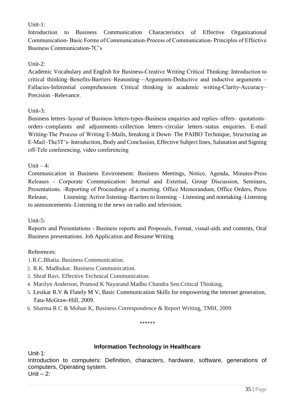# Unit-1:

Introduction to Business Communication Characteristics of Effective Organizational Communication‐ Basic Forms of Communication‐Process of Communication‐ Principles of Effective Business Communication‐7C's

# Unit-2:

Academic Vocabulary and English for Business‐Creative Writing Critical Thinking: Introduction to critical thinking–Benefits‐Barriers–Reasoning—Arguments‐Deductive and inductive arguments – Fallacies-Inferential comprehension Critical thinking in academic writing-Clarity-Accuracy– Precision –Relevance.

# Unit-3:

Business letters–layout of Business letters‐types‐Business enquiries and replies–offers– quotations– orders–complaints and adjustments–collection letters–circular letters–status enquiries. E-mail Writing‐The Process of Writing E-Mails, breaking it Down–The PAIBO Technique, Structuring an E‐Mail–The3T's–Introduction, Body and Conclusion, Effective Subject lines, Salutation and Signing off‐Tele conferencing, video conferencing

Unit  $-4$ :

Communication in Business Environment: Business Meetings, Notice, Agenda, Minutes‐Press Releases ‐ Corporate Communication: Internal and External, Group Discussion, Seminars, Presentations. ‐Reporting of Proceedings of a meeting. Office Memorandum, Office Orders, Press Release, Listening: Active listening–Barriers to listening – Listening and notetaking–Listening to announcements–Listening to the news on radio and television.

# Unit-5:

Reports and Presentations ‐ Business reports and Proposals, Format, visual-aids and contents, Oral Business presentations. Job Application and Resume Writing

# References:

- 1.R.C.Bhatia. Business Communication.
- 2. R.K. Madhukar. Business Communication.
- 3. Shraf Ravi. Effective Technical Communication.
- 4. Marilyn Anderson, Pramod K Nayarand Madhu Chandra Sen.Critical Thinking,
- 5. Lesikar R.V & Flately M V, Basic Communication Skills for empowering the internet generation, Tata‐McGraw-Hill, 2009.
- 6. Sharma R C & Mohan K, Business Correspondence & Report Writing, TMH, 2009

\*\*\*\*\*\*

# **Information Technology in Healthcare**

Unit-1:

Introduction to computers: Definition, characters, hardware, software, generations of computers, Operating system.

Unit  $-2$ :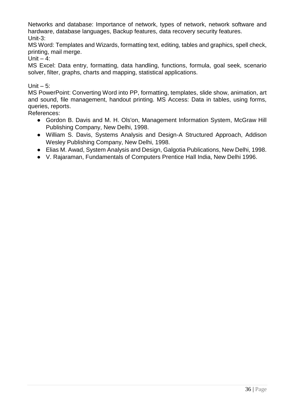Networks and database: Importance of network, types of network, network software and hardware, database languages, Backup features, data recovery security features. Unit-3:

MS Word: Templates and Wizards, formatting text, editing, tables and graphics, spell check, printing, mail merge.

Unit  $-4$ :

MS Excel: Data entry, formatting, data handling, functions, formula, goal seek, scenario solver, filter, graphs, charts and mapping, statistical applications.

# Unit  $-5$ :

MS PowerPoint: Converting Word into PP, formatting, templates, slide show, animation, art and sound, file management, handout printing. MS Access: Data in tables, using forms, queries, reports.

References:

- Gordon B. Davis and M. H. Ols'on, Management Information System, McGraw Hill Publishing Company, New Delhi, 1998.
- William S. Davis, Systems Analysis and Design-A Structured Approach, Addison Wesley Publishing Company, New Delhi, 1998.
- Elias M. Awad, System Analysis and Design, Galgotia Publications, New Delhi, 1998.
- V. Rajaraman, Fundamentals of Computers Prentice Hall India, New Delhi 1996.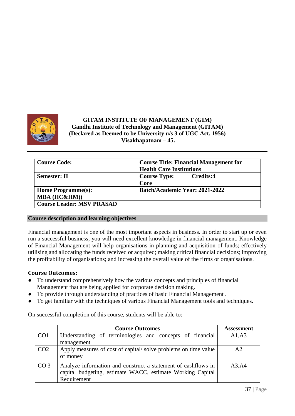

# **GITAM INSTITUTE OF MANAGEMENT (GIM) Gandhi Institute of Technology and Management (GITAM) (Declared as Deemed to be University u/s 3 of UGC Act. 1956) Visakhapatnam – 45.**

| <b>Course Code:</b>              | <b>Course Title: Financial Management for</b> |           |  |  |  |
|----------------------------------|-----------------------------------------------|-----------|--|--|--|
|                                  | <b>Health Care Institutions</b>               |           |  |  |  |
| <b>Semester: II</b>              | <b>Course Type:</b>                           | Credits:4 |  |  |  |
|                                  | Core                                          |           |  |  |  |
| Home Programme(s):               | Batch/Academic Year: 2021-2022                |           |  |  |  |
| MBA (HC&HM))                     |                                               |           |  |  |  |
| <b>Course Leader: MSV PRASAD</b> |                                               |           |  |  |  |

#### **Course description and learning objectives**

Financial management is one of the most important aspects in business. In order to start up or even run a successful business, you will need excellent knowledge in financial management. Knowledge of Financial Management will help organisations in planning and acquisition of funds; effectively utilising and allocating the funds received or acquired; making critical financial decisions; improving the profitability of organisations; and increasing the overall value of the firms or organisations.

#### **Course Outcomes:**

- To understand comprehensively how the various concepts and principles of financial Management that are being applied for corporate decision making.
- To provide through understanding of practices of basic Financial Management.
- To get familiar with the techniques of various Financial Management tools and techniques.

On successful completion of this course, students will be able to:

|                 | <b>Course Outcomes</b>                                                                                                                     | <b>Assessment</b> |
|-----------------|--------------------------------------------------------------------------------------------------------------------------------------------|-------------------|
| CO <sub>1</sub> | Understanding of terminologies and concepts of financial<br>management                                                                     | A1, A3            |
| CO <sub>2</sub> | Apply measures of cost of capital/solve problems on time value<br>of money                                                                 | A2                |
| CO <sub>3</sub> | Analyze information and construct a statement of cashflows in<br>capital budgeting, estimate WACC, estimate Working Capital<br>Requirement | A3, A4            |